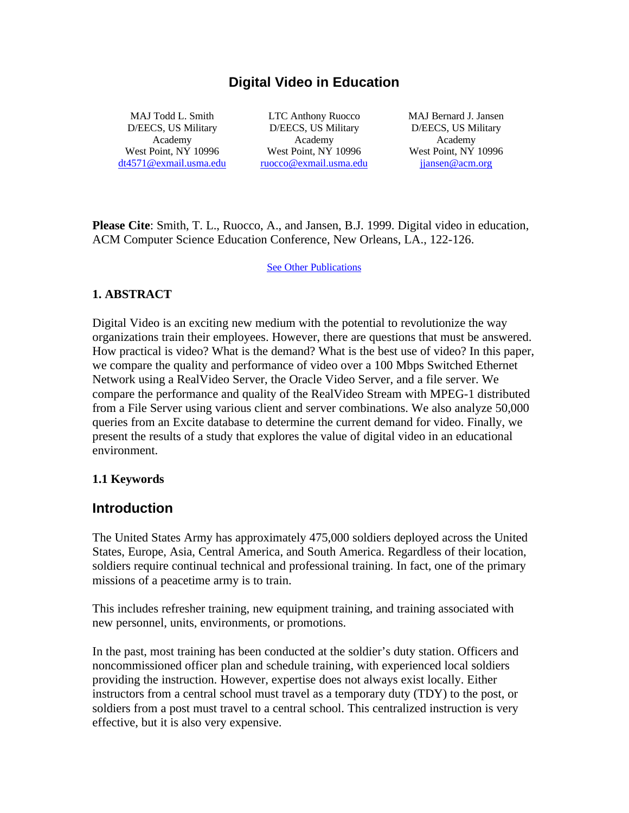## **Digital Video in Education**

MAJ Todd L. Smith D/EECS, US Military Academy West Point, NY 10996 dt4571@exmail.usma.edu

LTC Anthony Ruocco D/EECS, US Military Academy West Point, NY 10996 ruocco@exmail.usma.edu

MAJ Bernard J. Jansen D/EECS, US Military Academy West Point, NY 10996 jjansen@acm.org

**Please Cite**: Smith, T. L., Ruocco, A., and Jansen, B.J. 1999. Digital video in education, ACM Computer Science Education Conference, New Orleans, LA., 122-126.

See Other Publications

#### **1. ABSTRACT**

Digital Video is an exciting new medium with the potential to revolutionize the way organizations train their employees. However, there are questions that must be answered. How practical is video? What is the demand? What is the best use of video? In this paper, we compare the quality and performance of video over a 100 Mbps Switched Ethernet Network using a RealVideo Server, the Oracle Video Server, and a file server. We compare the performance and quality of the RealVideo Stream with MPEG-1 distributed from a File Server using various client and server combinations. We also analyze 50,000 queries from an Excite database to determine the current demand for video. Finally, we present the results of a study that explores the value of digital video in an educational environment.

#### **1.1 Keywords**

#### **Introduction**

The United States Army has approximately 475,000 soldiers deployed across the United States, Europe, Asia, Central America, and South America. Regardless of their location, soldiers require continual technical and professional training. In fact, one of the primary missions of a peacetime army is to train.

This includes refresher training, new equipment training, and training associated with new personnel, units, environments, or promotions.

In the past, most training has been conducted at the soldier's duty station. Officers and noncommissioned officer plan and schedule training, with experienced local soldiers providing the instruction. However, expertise does not always exist locally. Either instructors from a central school must travel as a temporary duty (TDY) to the post, or soldiers from a post must travel to a central school. This centralized instruction is very effective, but it is also very expensive.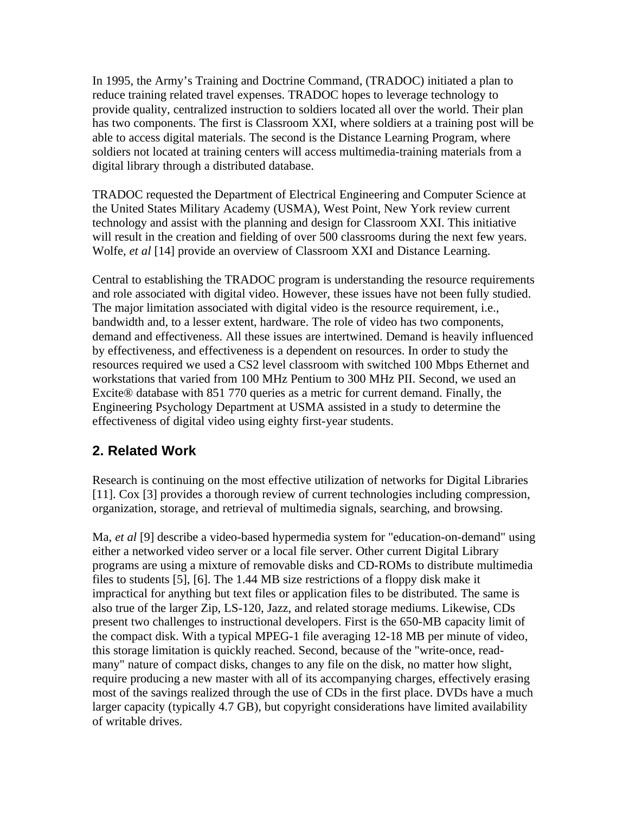In 1995, the Army's Training and Doctrine Command, (TRADOC) initiated a plan to reduce training related travel expenses. TRADOC hopes to leverage technology to provide quality, centralized instruction to soldiers located all over the world. Their plan has two components. The first is Classroom XXI, where soldiers at a training post will be able to access digital materials. The second is the Distance Learning Program, where soldiers not located at training centers will access multimedia-training materials from a digital library through a distributed database.

TRADOC requested the Department of Electrical Engineering and Computer Science at the United States Military Academy (USMA), West Point, New York review current technology and assist with the planning and design for Classroom XXI. This initiative will result in the creation and fielding of over 500 classrooms during the next few years. Wolfe, *et al* [14] provide an overview of Classroom XXI and Distance Learning.

Central to establishing the TRADOC program is understanding the resource requirements and role associated with digital video. However, these issues have not been fully studied. The major limitation associated with digital video is the resource requirement, i.e., bandwidth and, to a lesser extent, hardware. The role of video has two components, demand and effectiveness. All these issues are intertwined. Demand is heavily influenced by effectiveness, and effectiveness is a dependent on resources. In order to study the resources required we used a CS2 level classroom with switched 100 Mbps Ethernet and workstations that varied from 100 MHz Pentium to 300 MHz PII. Second, we used an Excite® database with 851 770 queries as a metric for current demand. Finally, the Engineering Psychology Department at USMA assisted in a study to determine the effectiveness of digital video using eighty first-year students.

## **2. Related Work**

Research is continuing on the most effective utilization of networks for Digital Libraries [11]. Cox [3] provides a thorough review of current technologies including compression, organization, storage, and retrieval of multimedia signals, searching, and browsing.

Ma, *et al* [9] describe a video-based hypermedia system for "education-on-demand" using either a networked video server or a local file server. Other current Digital Library programs are using a mixture of removable disks and CD-ROMs to distribute multimedia files to students [5], [6]. The 1.44 MB size restrictions of a floppy disk make it impractical for anything but text files or application files to be distributed. The same is also true of the larger Zip, LS-120, Jazz, and related storage mediums. Likewise, CDs present two challenges to instructional developers. First is the 650-MB capacity limit of the compact disk. With a typical MPEG-1 file averaging 12-18 MB per minute of video, this storage limitation is quickly reached. Second, because of the "write-once, readmany" nature of compact disks, changes to any file on the disk, no matter how slight, require producing a new master with all of its accompanying charges, effectively erasing most of the savings realized through the use of CDs in the first place. DVDs have a much larger capacity (typically 4.7 GB), but copyright considerations have limited availability of writable drives.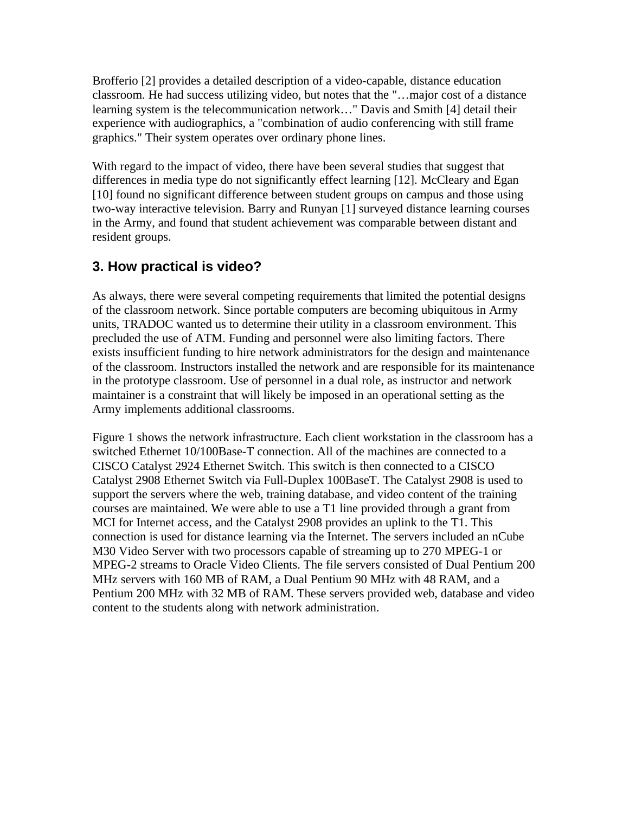Brofferio [2] provides a detailed description of a video-capable, distance education classroom. He had success utilizing video, but notes that the "…major cost of a distance learning system is the telecommunication network…" Davis and Smith [4] detail their experience with audiographics, a "combination of audio conferencing with still frame graphics." Their system operates over ordinary phone lines.

With regard to the impact of video, there have been several studies that suggest that differences in media type do not significantly effect learning [12]. McCleary and Egan [10] found no significant difference between student groups on campus and those using two-way interactive television. Barry and Runyan [1] surveyed distance learning courses in the Army, and found that student achievement was comparable between distant and resident groups.

# **3. How practical is video?**

As always, there were several competing requirements that limited the potential designs of the classroom network. Since portable computers are becoming ubiquitous in Army units, TRADOC wanted us to determine their utility in a classroom environment. This precluded the use of ATM. Funding and personnel were also limiting factors. There exists insufficient funding to hire network administrators for the design and maintenance of the classroom. Instructors installed the network and are responsible for its maintenance in the prototype classroom. Use of personnel in a dual role, as instructor and network maintainer is a constraint that will likely be imposed in an operational setting as the Army implements additional classrooms.

Figure 1 shows the network infrastructure. Each client workstation in the classroom has a switched Ethernet 10/100Base-T connection. All of the machines are connected to a CISCO Catalyst 2924 Ethernet Switch. This switch is then connected to a CISCO Catalyst 2908 Ethernet Switch via Full-Duplex 100BaseT. The Catalyst 2908 is used to support the servers where the web, training database, and video content of the training courses are maintained. We were able to use a T1 line provided through a grant from MCI for Internet access, and the Catalyst 2908 provides an uplink to the T1. This connection is used for distance learning via the Internet. The servers included an nCube M30 Video Server with two processors capable of streaming up to 270 MPEG-1 or MPEG-2 streams to Oracle Video Clients. The file servers consisted of Dual Pentium 200 MHz servers with 160 MB of RAM, a Dual Pentium 90 MHz with 48 RAM, and a Pentium 200 MHz with 32 MB of RAM. These servers provided web, database and video content to the students along with network administration.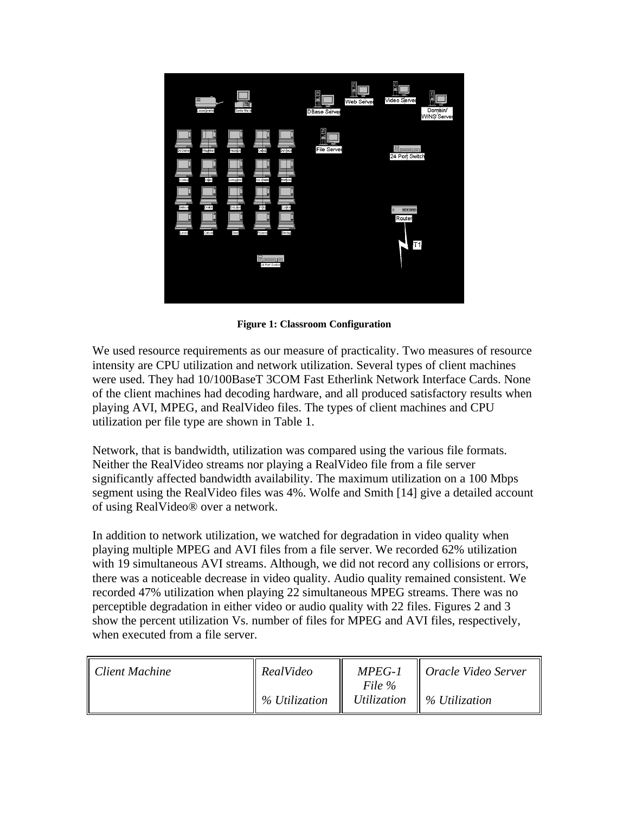

**Figure 1: Classroom Configuration**

We used resource requirements as our measure of practicality. Two measures of resource intensity are CPU utilization and network utilization. Several types of client machines were used. They had 10/100BaseT 3COM Fast Etherlink Network Interface Cards. None of the client machines had decoding hardware, and all produced satisfactory results when playing AVI, MPEG, and RealVideo files. The types of client machines and CPU utilization per file type are shown in Table 1.

Network, that is bandwidth, utilization was compared using the various file formats. Neither the RealVideo streams nor playing a RealVideo file from a file server significantly affected bandwidth availability. The maximum utilization on a 100 Mbps segment using the RealVideo files was 4%. Wolfe and Smith [14] give a detailed account of using RealVideo® over a network.

In addition to network utilization, we watched for degradation in video quality when playing multiple MPEG and AVI files from a file server. We recorded 62% utilization with 19 simultaneous AVI streams. Although, we did not record any collisions or errors, there was a noticeable decrease in video quality. Audio quality remained consistent. We recorded 47% utilization when playing 22 simultaneous MPEG streams. There was no perceptible degradation in either video or audio quality with 22 files. Figures 2 and 3 show the percent utilization Vs. number of files for MPEG and AVI files, respectively, when executed from a file server.

| Client Machine | RealVideo     | $MPEG-1$ | $\parallel$ Oracle Video Server       |
|----------------|---------------|----------|---------------------------------------|
|                | % Utilization | File %   | Utilization $\parallel$ % Utilization |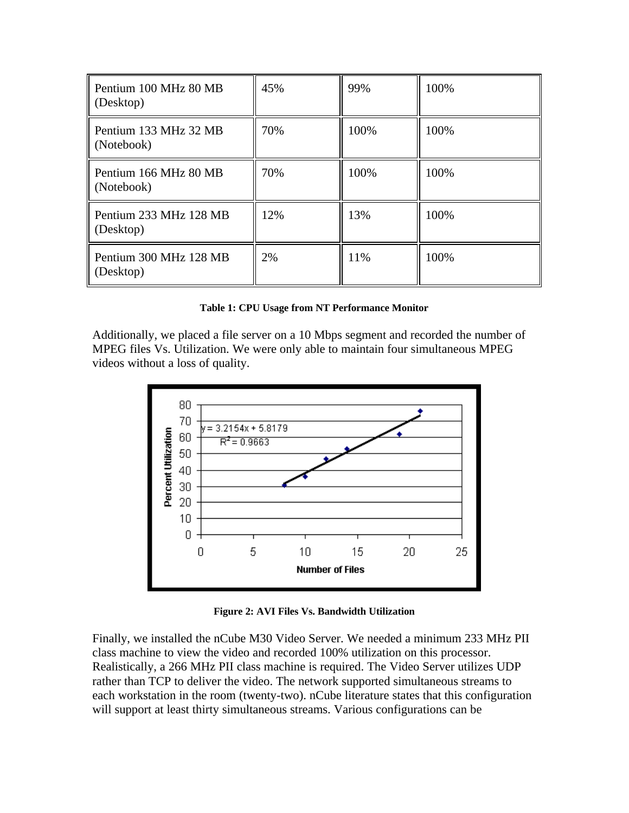| Pentium 100 MHz 80 MB<br>(Desktop)  | 45% | 99%  | 100% |
|-------------------------------------|-----|------|------|
| Pentium 133 MHz 32 MB<br>(Notebook) | 70% | 100% | 100% |
| Pentium 166 MHz 80 MB<br>(Notebook) | 70% | 100% | 100% |
| Pentium 233 MHz 128 MB<br>(Desktop) | 12% | 13%  | 100% |
| Pentium 300 MHz 128 MB<br>(Desktop) | 2%  | 11%  | 100% |

**Table 1: CPU Usage from NT Performance Monitor**

Additionally, we placed a file server on a 10 Mbps segment and recorded the number of MPEG files Vs. Utilization. We were only able to maintain four simultaneous MPEG videos without a loss of quality.



**Figure 2: AVI Files Vs. Bandwidth Utilization**

Finally, we installed the nCube M30 Video Server. We needed a minimum 233 MHz PII class machine to view the video and recorded 100% utilization on this processor. Realistically, a 266 MHz PII class machine is required. The Video Server utilizes UDP rather than TCP to deliver the video. The network supported simultaneous streams to each workstation in the room (twenty-two). nCube literature states that this configuration will support at least thirty simultaneous streams. Various configurations can be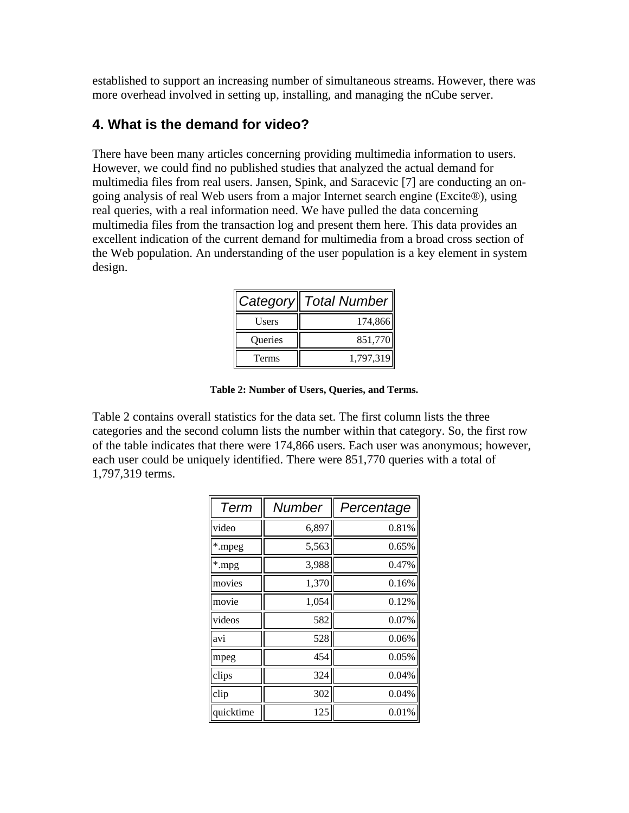established to support an increasing number of simultaneous streams. However, there was more overhead involved in setting up, installing, and managing the nCube server.

### **4. What is the demand for video?**

There have been many articles concerning providing multimedia information to users. However, we could find no published studies that analyzed the actual demand for multimedia files from real users. Jansen, Spink, and Saracevic [7] are conducting an ongoing analysis of real Web users from a major Internet search engine (Excite®), using real queries, with a real information need. We have pulled the data concerning multimedia files from the transaction log and present them here. This data provides an excellent indication of the current demand for multimedia from a broad cross section of the Web population. An understanding of the user population is a key element in system design.

| Category | Total Number |
|----------|--------------|
| Users    | 174,866      |
| Queries  | 851,770      |
| Terms    | 1,797,319    |

**Table 2: Number of Users, Queries, and Terms.**

Table 2 contains overall statistics for the data set. The first column lists the three categories and the second column lists the number within that category. So, the first row of the table indicates that there were 174,866 users. Each user was anonymous; however, each user could be uniquely identified. There were 851,770 queries with a total of 1,797,319 terms.

| Term      | <b>Number</b> | Percentage |  |  |
|-----------|---------------|------------|--|--|
| video     | 6,897         | 0.81%      |  |  |
| *.mpeg    | 5,563         | 0.65%      |  |  |
| *.mpg     | 3,988         | 0.47%      |  |  |
| movies    | 1,370         | 0.16%      |  |  |
| movie     | 1,054         | 0.12%      |  |  |
| videos    | 582           | 0.07%      |  |  |
| avi       | 528           | 0.06%      |  |  |
| mpeg      | 454           | 0.05%      |  |  |
| clips     | 324           | 0.04%      |  |  |
| clip      | 302           | 0.04%      |  |  |
| quicktime | 125           | 0.01%      |  |  |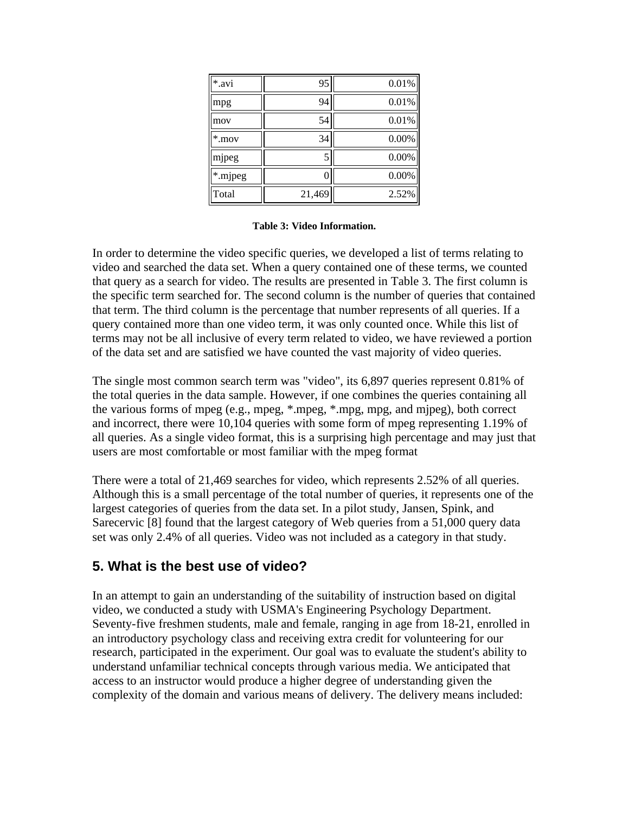| *.avi    | 95     | 0.01% |
|----------|--------|-------|
| mpg      | 94     | 0.01% |
| mov      | 54     | 0.01% |
| $*$ .mov | 34     | 0.00% |
| mjpeg    | 5      | 0.00% |
| *.mjpeg  | 0      | 0.00% |
| Total    | 21,469 | 2.52% |

**Table 3: Video Information.**

In order to determine the video specific queries, we developed a list of terms relating to video and searched the data set. When a query contained one of these terms, we counted that query as a search for video. The results are presented in Table 3. The first column is the specific term searched for. The second column is the number of queries that contained that term. The third column is the percentage that number represents of all queries. If a query contained more than one video term, it was only counted once. While this list of terms may not be all inclusive of every term related to video, we have reviewed a portion of the data set and are satisfied we have counted the vast majority of video queries.

The single most common search term was "video", its 6,897 queries represent 0.81% of the total queries in the data sample. However, if one combines the queries containing all the various forms of mpeg (e.g., mpeg, \*.mpeg, \*.mpg, mpg, and mjpeg), both correct and incorrect, there were 10,104 queries with some form of mpeg representing 1.19% of all queries. As a single video format, this is a surprising high percentage and may just that users are most comfortable or most familiar with the mpeg format

There were a total of 21,469 searches for video, which represents 2.52% of all queries. Although this is a small percentage of the total number of queries, it represents one of the largest categories of queries from the data set. In a pilot study, Jansen, Spink, and Sarecervic [8] found that the largest category of Web queries from a 51,000 query data set was only 2.4% of all queries. Video was not included as a category in that study.

## **5. What is the best use of video?**

In an attempt to gain an understanding of the suitability of instruction based on digital video, we conducted a study with USMA's Engineering Psychology Department. Seventy-five freshmen students, male and female, ranging in age from 18-21, enrolled in an introductory psychology class and receiving extra credit for volunteering for our research, participated in the experiment. Our goal was to evaluate the student's ability to understand unfamiliar technical concepts through various media. We anticipated that access to an instructor would produce a higher degree of understanding given the complexity of the domain and various means of delivery. The delivery means included: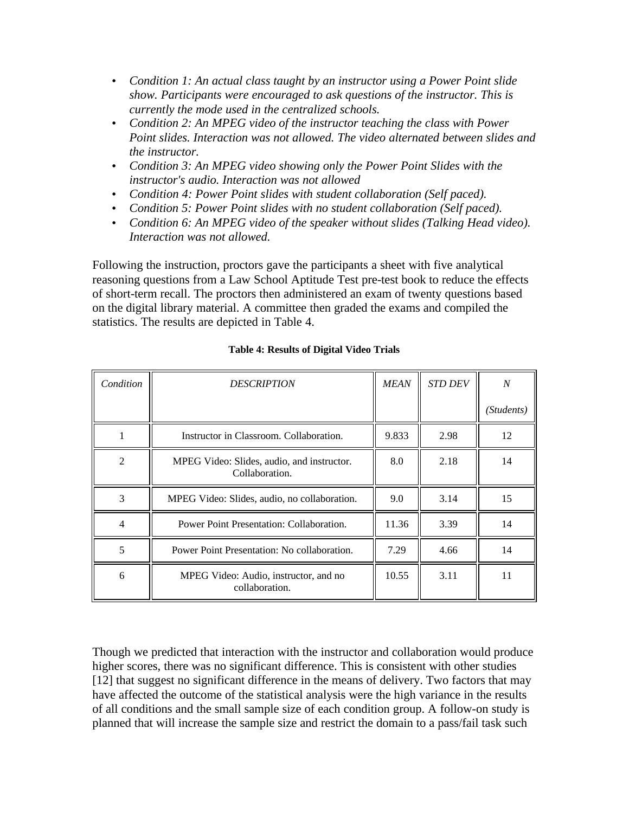- *Condition 1: An actual class taught by an instructor using a Power Point slide show. Participants were encouraged to ask questions of the instructor. This is currently the mode used in the centralized schools.*
- *Condition 2: An MPEG video of the instructor teaching the class with Power Point slides. Interaction was not allowed. The video alternated between slides and the instructor.*
- *Condition 3: An MPEG video showing only the Power Point Slides with the instructor's audio. Interaction was not allowed*
- *Condition 4: Power Point slides with student collaboration (Self paced).*
- *Condition 5: Power Point slides with no student collaboration (Self paced).*
- *Condition 6: An MPEG video of the speaker without slides (Talking Head video). Interaction was not allowed.*

Following the instruction, proctors gave the participants a sheet with five analytical reasoning questions from a Law School Aptitude Test pre-test book to reduce the effects of short-term recall. The proctors then administered an exam of twenty questions based on the digital library material. A committee then graded the exams and compiled the statistics. The results are depicted in Table 4.

| Condition      | <b>DESCRIPTION</b>                                           | <b>MEAN</b> | <b>STD DEV</b> | $\boldsymbol{N}$ |
|----------------|--------------------------------------------------------------|-------------|----------------|------------------|
|                |                                                              |             |                | (Students)       |
|                | Instructor in Classroom. Collaboration.                      | 9.833       | 2.98           | 12               |
| $\overline{2}$ | MPEG Video: Slides, audio, and instructor.<br>Collaboration. | 8.0         | 2.18           | 14               |
| 3              | MPEG Video: Slides, audio, no collaboration.                 | 9.0         | 3.14           | 15               |
| $\overline{4}$ | Power Point Presentation: Collaboration.                     | 11.36       | 3.39           | 14               |
| 5              | Power Point Presentation: No collaboration.                  | 7.29        | 4.66           | 14               |
| 6              | MPEG Video: Audio, instructor, and no<br>collaboration.      | 10.55       | 3.11           | 11               |

#### **Table 4: Results of Digital Video Trials**

Though we predicted that interaction with the instructor and collaboration would produce higher scores, there was no significant difference. This is consistent with other studies [12] that suggest no significant difference in the means of delivery. Two factors that may have affected the outcome of the statistical analysis were the high variance in the results of all conditions and the small sample size of each condition group. A follow-on study is planned that will increase the sample size and restrict the domain to a pass/fail task such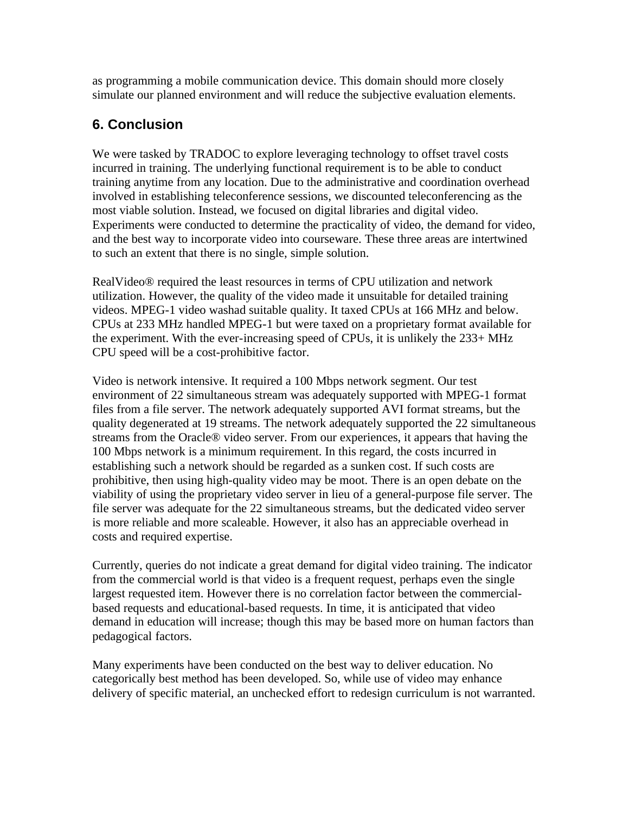as programming a mobile communication device. This domain should more closely simulate our planned environment and will reduce the subjective evaluation elements.

## **6. Conclusion**

We were tasked by TRADOC to explore leveraging technology to offset travel costs incurred in training. The underlying functional requirement is to be able to conduct training anytime from any location. Due to the administrative and coordination overhead involved in establishing teleconference sessions, we discounted teleconferencing as the most viable solution. Instead, we focused on digital libraries and digital video. Experiments were conducted to determine the practicality of video, the demand for video, and the best way to incorporate video into courseware. These three areas are intertwined to such an extent that there is no single, simple solution.

RealVideo® required the least resources in terms of CPU utilization and network utilization. However, the quality of the video made it unsuitable for detailed training videos. MPEG-1 video washad suitable quality. It taxed CPUs at 166 MHz and below. CPUs at 233 MHz handled MPEG-1 but were taxed on a proprietary format available for the experiment. With the ever-increasing speed of CPUs, it is unlikely the 233+ MHz CPU speed will be a cost-prohibitive factor.

Video is network intensive. It required a 100 Mbps network segment. Our test environment of 22 simultaneous stream was adequately supported with MPEG-1 format files from a file server. The network adequately supported AVI format streams, but the quality degenerated at 19 streams. The network adequately supported the 22 simultaneous streams from the Oracle® video server. From our experiences, it appears that having the 100 Mbps network is a minimum requirement. In this regard, the costs incurred in establishing such a network should be regarded as a sunken cost. If such costs are prohibitive, then using high-quality video may be moot. There is an open debate on the viability of using the proprietary video server in lieu of a general-purpose file server. The file server was adequate for the 22 simultaneous streams, but the dedicated video server is more reliable and more scaleable. However, it also has an appreciable overhead in costs and required expertise.

Currently, queries do not indicate a great demand for digital video training. The indicator from the commercial world is that video is a frequent request, perhaps even the single largest requested item. However there is no correlation factor between the commercialbased requests and educational-based requests. In time, it is anticipated that video demand in education will increase; though this may be based more on human factors than pedagogical factors.

Many experiments have been conducted on the best way to deliver education. No categorically best method has been developed. So, while use of video may enhance delivery of specific material, an unchecked effort to redesign curriculum is not warranted.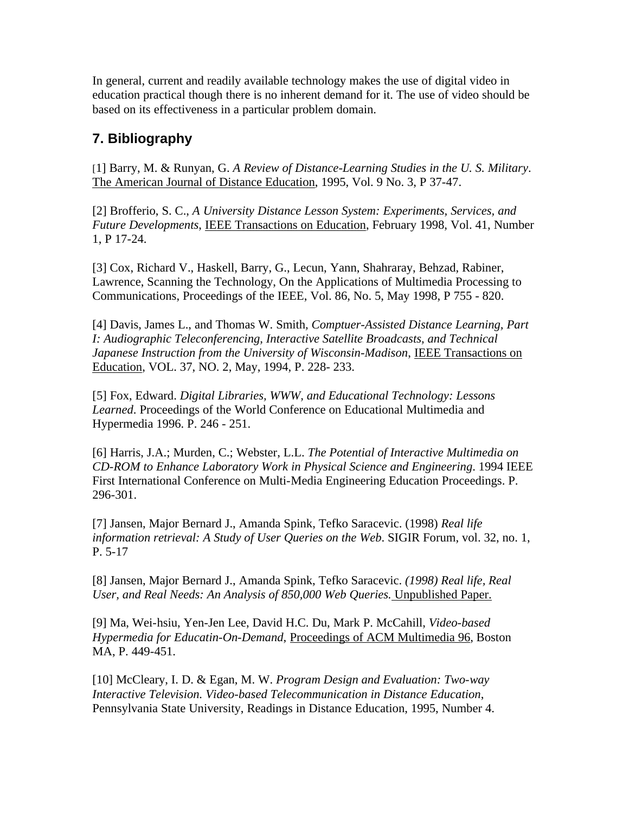In general, current and readily available technology makes the use of digital video in education practical though there is no inherent demand for it. The use of video should be based on its effectiveness in a particular problem domain.

# **7. Bibliography**

[1] Barry, M. & Runyan, G. *A Review of Distance-Learning Studies in the U. S. Military*. The American Journal of Distance Education, 1995, Vol. 9 No. 3, P 37-47.

[2] Brofferio, S. C., *A University Distance Lesson System: Experiments, Services, and Future Developments*, IEEE Transactions on Education, February 1998, Vol. 41, Number 1, P 17-24.

[3] Cox, Richard V., Haskell, Barry, G., Lecun, Yann, Shahraray, Behzad, Rabiner, Lawrence, Scanning the Technology, On the Applications of Multimedia Processing to Communications, Proceedings of the IEEE, Vol. 86, No. 5, May 1998, P 755 - 820.

[4] Davis, James L., and Thomas W. Smith*, Comptuer-Assisted Distance Learning, Part I: Audiographic Teleconferencing, Interactive Satellite Broadcasts, and Technical Japanese Instruction from the University of Wisconsin-Madison*, IEEE Transactions on Education, VOL. 37, NO. 2, May, 1994, P. 228- 233.

[5] Fox, Edward. *Digital Libraries, WWW, and Educational Technology: Lessons Learned*. Proceedings of the World Conference on Educational Multimedia and Hypermedia 1996. P. 246 - 251.

[6] Harris, J.A.; Murden, C.; Webster, L.L. *The Potential of Interactive Multimedia on CD-ROM to Enhance Laboratory Work in Physical Science and Engineering*. 1994 IEEE First International Conference on Multi-Media Engineering Education Proceedings. P. 296-301.

[7] Jansen, Major Bernard J., Amanda Spink, Tefko Saracevic. (1998) *Real life information retrieval: A Study of User Queries on the Web*. SIGIR Forum, vol. 32, no. 1, P. 5-17

[8] Jansen, Major Bernard J., Amanda Spink, Tefko Saracevic. *(1998) Real life, Real User, and Real Needs: An Analysis of 850,000 Web Queries.* Unpublished Paper.

[9] Ma, Wei-hsiu, Yen-Jen Lee, David H.C. Du, Mark P. McCahill, *Video-based Hypermedia for Educatin-On-Demand*, Proceedings of ACM Multimedia 96, Boston MA, P. 449-451.

[10] McCleary, I. D. & Egan, M. W. *Program Design and Evaluation: Two-way Interactive Television. Video-based Telecommunication in Distance Education*, Pennsylvania State University, Readings in Distance Education, 1995, Number 4.